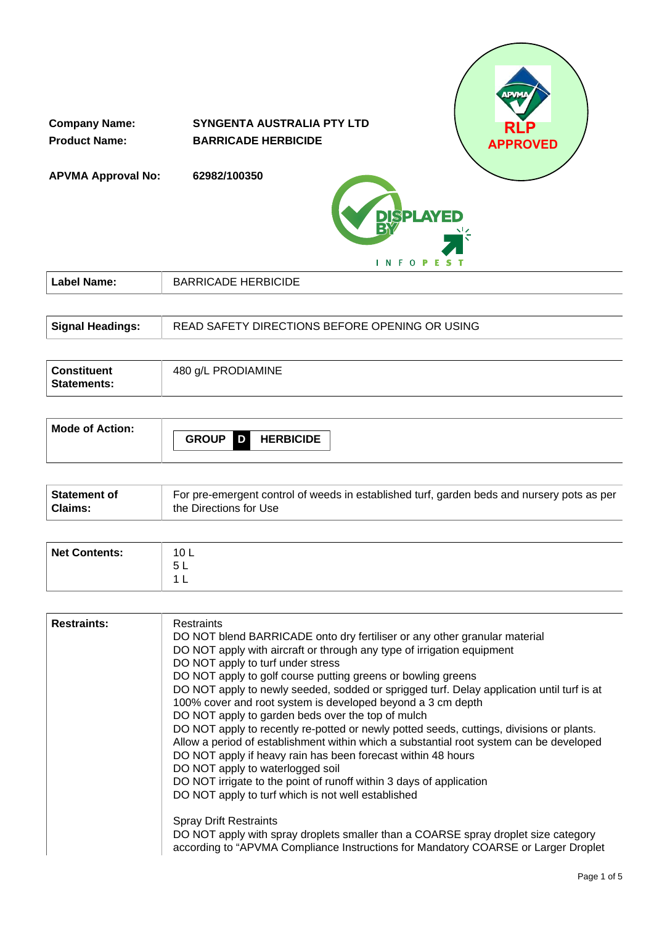

| <b>Signal Headings:</b> | READ SAFETY DIRECTIONS BEFORE OPENING OR USING |
|-------------------------|------------------------------------------------|
|                         |                                                |

| <b>Constituent</b><br>Statements: | 480 g/L PRODIAMINE |
|-----------------------------------|--------------------|
|-----------------------------------|--------------------|

| Mode of Action: |                                       |
|-----------------|---------------------------------------|
|                 | D<br><b>GROUP</b><br><b>HERBICIDE</b> |

| Statement of | For pre-emergent control of weeds in established turf, garden beds and nursery pots as per |
|--------------|--------------------------------------------------------------------------------------------|
| Claims:      | the Directions for Use                                                                     |

| <b>Net Contents:</b> | 10 L<br>Б.<br>◡└ |
|----------------------|------------------|
|                      | -                |

| <b>Restraints</b><br>DO NOT blend BARRICADE onto dry fertiliser or any other granular material<br>DO NOT apply with aircraft or through any type of irrigation equipment<br>DO NOT apply to turf under stress<br>DO NOT apply to golf course putting greens or bowling greens<br>DO NOT apply to newly seeded, sodded or sprigged turf. Delay application until turf is at<br>100% cover and root system is developed beyond a 3 cm depth<br>DO NOT apply to garden beds over the top of mulch<br>DO NOT apply to recently re-potted or newly potted seeds, cuttings, divisions or plants.<br>Allow a period of establishment within which a substantial root system can be developed |                    |  |
|---------------------------------------------------------------------------------------------------------------------------------------------------------------------------------------------------------------------------------------------------------------------------------------------------------------------------------------------------------------------------------------------------------------------------------------------------------------------------------------------------------------------------------------------------------------------------------------------------------------------------------------------------------------------------------------|--------------------|--|
| DO NOT apply if heavy rain has been forecast within 48 hours<br>DO NOT apply to waterlogged soil<br>DO NOT irrigate to the point of runoff within 3 days of application<br>DO NOT apply to turf which is not well established<br><b>Spray Drift Restraints</b><br>DO NOT apply with spray droplets smaller than a COARSE spray droplet size category<br>according to "APVMA Compliance Instructions for Mandatory COARSE or Larger Droplet                                                                                                                                                                                                                                            | <b>Restraints:</b> |  |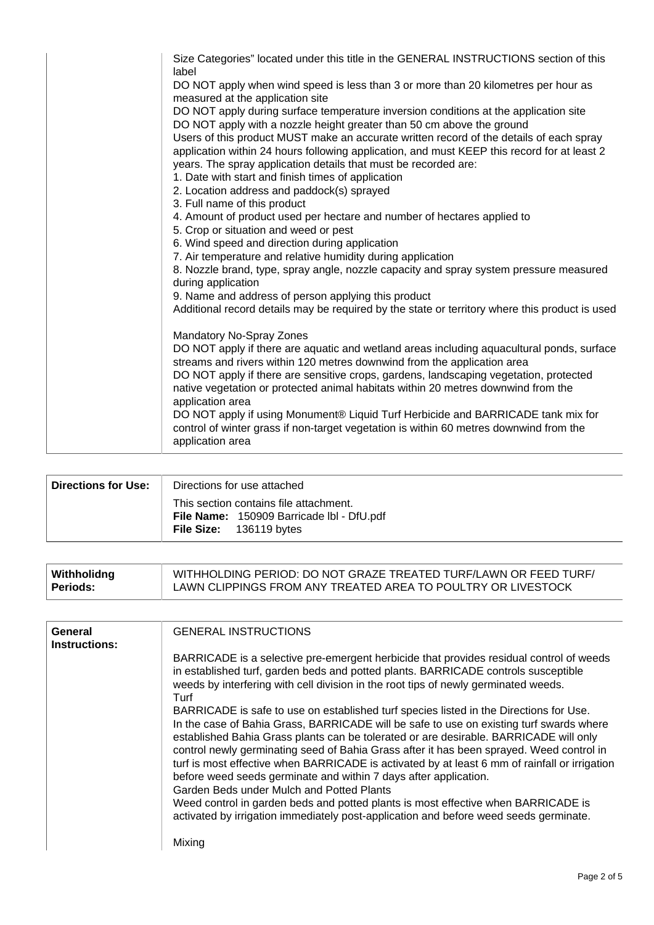| Size Categories" located under this title in the GENERAL INSTRUCTIONS section of this<br>label<br>DO NOT apply when wind speed is less than 3 or more than 20 kilometres per hour as<br>measured at the application site<br>DO NOT apply during surface temperature inversion conditions at the application site<br>DO NOT apply with a nozzle height greater than 50 cm above the ground<br>Users of this product MUST make an accurate written record of the details of each spray<br>application within 24 hours following application, and must KEEP this record for at least 2<br>years. The spray application details that must be recorded are:<br>1. Date with start and finish times of application<br>2. Location address and paddock(s) sprayed |
|------------------------------------------------------------------------------------------------------------------------------------------------------------------------------------------------------------------------------------------------------------------------------------------------------------------------------------------------------------------------------------------------------------------------------------------------------------------------------------------------------------------------------------------------------------------------------------------------------------------------------------------------------------------------------------------------------------------------------------------------------------|
| 3. Full name of this product<br>4. Amount of product used per hectare and number of hectares applied to<br>5. Crop or situation and weed or pest                                                                                                                                                                                                                                                                                                                                                                                                                                                                                                                                                                                                           |
| 6. Wind speed and direction during application<br>7. Air temperature and relative humidity during application                                                                                                                                                                                                                                                                                                                                                                                                                                                                                                                                                                                                                                              |
| 8. Nozzle brand, type, spray angle, nozzle capacity and spray system pressure measured<br>during application                                                                                                                                                                                                                                                                                                                                                                                                                                                                                                                                                                                                                                               |
| 9. Name and address of person applying this product                                                                                                                                                                                                                                                                                                                                                                                                                                                                                                                                                                                                                                                                                                        |
| Additional record details may be required by the state or territory where this product is used                                                                                                                                                                                                                                                                                                                                                                                                                                                                                                                                                                                                                                                             |
| Mandatory No-Spray Zones<br>DO NOT apply if there are aquatic and wetland areas including aquacultural ponds, surface<br>streams and rivers within 120 metres downwind from the application area<br>DO NOT apply if there are sensitive crops, gardens, landscaping vegetation, protected<br>native vegetation or protected animal habitats within 20 metres downwind from the<br>application area<br>DO NOT apply if using Monument® Liquid Turf Herbicide and BARRICADE tank mix for<br>control of winter grass if non-target vegetation is within 60 metres downwind from the<br>application area                                                                                                                                                       |

| Directions for Use: | Directions for use attached                                                                                    |
|---------------------|----------------------------------------------------------------------------------------------------------------|
|                     | This section contains file attachment.<br>File Name: 150909 Barricade Ibl - DfU.pdf<br>File Size: 136119 bytes |

| Withholidng | WITHHOLDING PERIOD: DO NOT GRAZE TREATED TURF/LAWN OR FEED TURF/ |
|-------------|------------------------------------------------------------------|
| ∣ Periods:  | LAWN CLIPPINGS FROM ANY TREATED AREA TO POULTRY OR LIVESTOCK     |

| General<br>Instructions: | <b>GENERAL INSTRUCTIONS</b>                                                                                                                                                                                                                                                  |
|--------------------------|------------------------------------------------------------------------------------------------------------------------------------------------------------------------------------------------------------------------------------------------------------------------------|
|                          | BARRICADE is a selective pre-emergent herbicide that provides residual control of weeds                                                                                                                                                                                      |
|                          | in established turf, garden beds and potted plants. BARRICADE controls susceptible<br>weeds by interfering with cell division in the root tips of newly germinated weeds.<br>Turf                                                                                            |
|                          | BARRICADE is safe to use on established turf species listed in the Directions for Use.                                                                                                                                                                                       |
|                          | In the case of Bahia Grass, BARRICADE will be safe to use on existing turf swards where<br>established Bahia Grass plants can be tolerated or are desirable. BARRICADE will only<br>control newly germinating seed of Bahia Grass after it has been sprayed. Weed control in |
|                          | turf is most effective when BARRICADE is activated by at least 6 mm of rainfall or irrigation<br>before weed seeds germinate and within 7 days after application.                                                                                                            |
|                          | Garden Beds under Mulch and Potted Plants                                                                                                                                                                                                                                    |
|                          | Weed control in garden beds and potted plants is most effective when BARRICADE is<br>activated by irrigation immediately post-application and before weed seeds germinate.                                                                                                   |
|                          | Mixing                                                                                                                                                                                                                                                                       |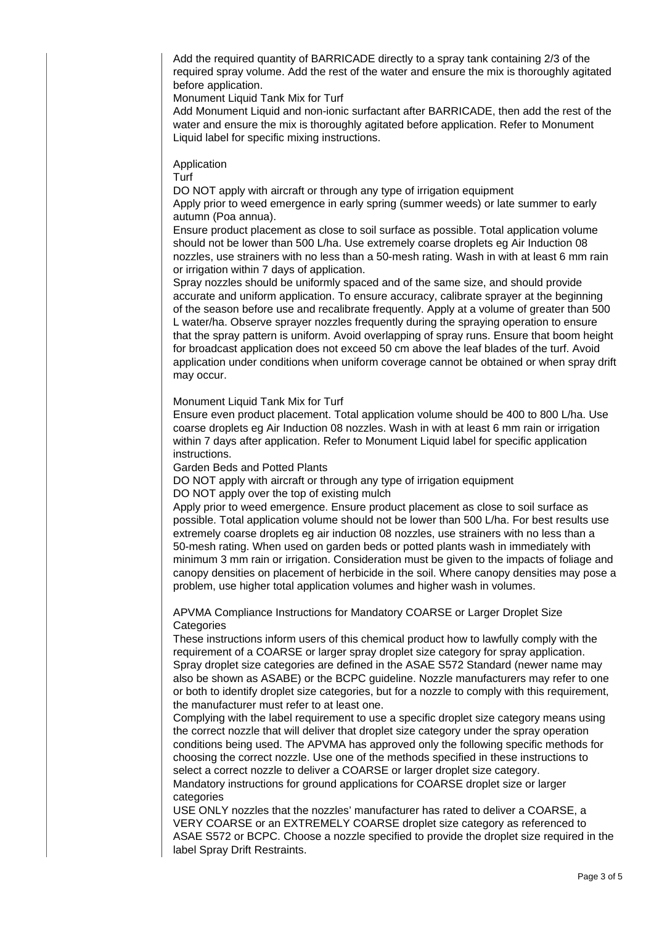Add the required quantity of BARRICADE directly to a spray tank containing 2/3 of the required spray volume. Add the rest of the water and ensure the mix is thoroughly agitated before application.

Monument Liquid Tank Mix for Turf

Add Monument Liquid and non-ionic surfactant after BARRICADE, then add the rest of the water and ensure the mix is thoroughly agitated before application. Refer to Monument Liquid label for specific mixing instructions.

**Application** 

Turf

DO NOT apply with aircraft or through any type of irrigation equipment

Apply prior to weed emergence in early spring (summer weeds) or late summer to early autumn (Poa annua).

Ensure product placement as close to soil surface as possible. Total application volume should not be lower than 500 L/ha. Use extremely coarse droplets eg Air Induction 08 nozzles, use strainers with no less than a 50-mesh rating. Wash in with at least 6 mm rain or irrigation within 7 days of application.

Spray nozzles should be uniformly spaced and of the same size, and should provide accurate and uniform application. To ensure accuracy, calibrate sprayer at the beginning of the season before use and recalibrate frequently. Apply at a volume of greater than 500 L water/ha. Observe sprayer nozzles frequently during the spraying operation to ensure that the spray pattern is uniform. Avoid overlapping of spray runs. Ensure that boom height for broadcast application does not exceed 50 cm above the leaf blades of the turf. Avoid application under conditions when uniform coverage cannot be obtained or when spray drift may occur.

Monument Liquid Tank Mix for Turf

Ensure even product placement. Total application volume should be 400 to 800 L/ha. Use coarse droplets eg Air Induction 08 nozzles. Wash in with at least 6 mm rain or irrigation within 7 days after application. Refer to Monument Liquid label for specific application instructions.

Garden Beds and Potted Plants

DO NOT apply with aircraft or through any type of irrigation equipment

DO NOT apply over the top of existing mulch

Apply prior to weed emergence. Ensure product placement as close to soil surface as possible. Total application volume should not be lower than 500 L/ha. For best results use extremely coarse droplets eg air induction 08 nozzles, use strainers with no less than a 50-mesh rating. When used on garden beds or potted plants wash in immediately with minimum 3 mm rain or irrigation. Consideration must be given to the impacts of foliage and canopy densities on placement of herbicide in the soil. Where canopy densities may pose a problem, use higher total application volumes and higher wash in volumes.

APVMA Compliance Instructions for Mandatory COARSE or Larger Droplet Size **Categories** 

These instructions inform users of this chemical product how to lawfully comply with the requirement of a COARSE or larger spray droplet size category for spray application. Spray droplet size categories are defined in the ASAE S572 Standard (newer name may also be shown as ASABE) or the BCPC guideline. Nozzle manufacturers may refer to one or both to identify droplet size categories, but for a nozzle to comply with this requirement, the manufacturer must refer to at least one.

Complying with the label requirement to use a specific droplet size category means using the correct nozzle that will deliver that droplet size category under the spray operation conditions being used. The APVMA has approved only the following specific methods for choosing the correct nozzle. Use one of the methods specified in these instructions to select a correct nozzle to deliver a COARSE or larger droplet size category. Mandatory instructions for ground applications for COARSE droplet size or larger categories

USE ONLY nozzles that the nozzles' manufacturer has rated to deliver a COARSE, a VERY COARSE or an EXTREMELY COARSE droplet size category as referenced to ASAE S572 or BCPC. Choose a nozzle specified to provide the droplet size required in the label Spray Drift Restraints.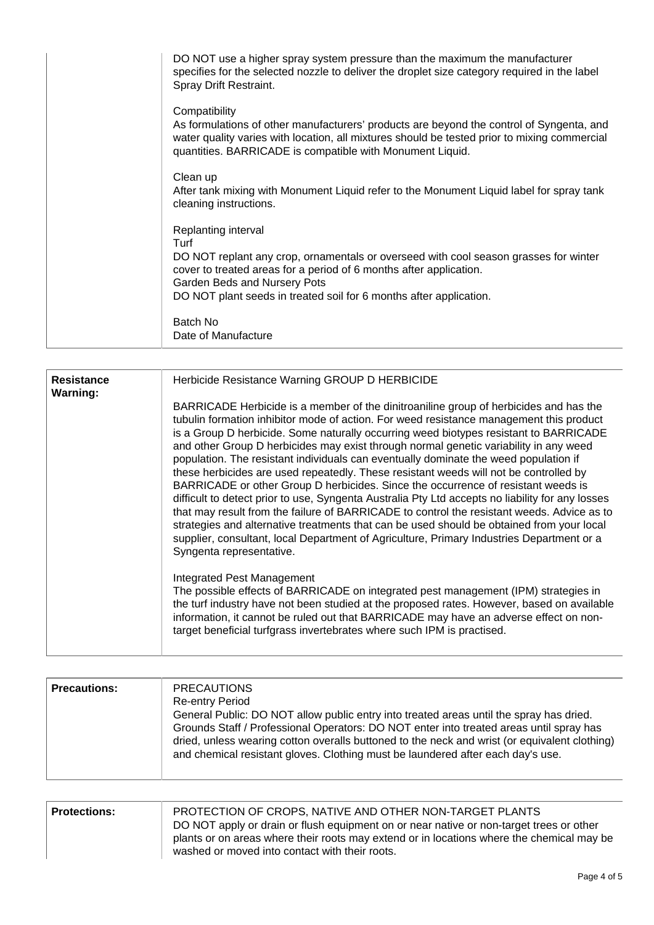| DO NOT use a higher spray system pressure than the maximum the manufacturer<br>specifies for the selected nozzle to deliver the droplet size category required in the label<br>Spray Drift Restraint.                                                                                           |
|-------------------------------------------------------------------------------------------------------------------------------------------------------------------------------------------------------------------------------------------------------------------------------------------------|
| Compatibility<br>As formulations of other manufacturers' products are beyond the control of Syngenta, and<br>water quality varies with location, all mixtures should be tested prior to mixing commercial<br>quantities. BARRICADE is compatible with Monument Liquid.                          |
| Clean up<br>After tank mixing with Monument Liquid refer to the Monument Liquid label for spray tank<br>cleaning instructions.                                                                                                                                                                  |
| Replanting interval<br>Turf<br>DO NOT replant any crop, ornamentals or overseed with cool season grasses for winter<br>cover to treated areas for a period of 6 months after application.<br>Garden Beds and Nursery Pots<br>DO NOT plant seeds in treated soil for 6 months after application. |
| Batch No<br>Date of Manufacture                                                                                                                                                                                                                                                                 |

| <b>Resistance</b><br><b>Warning:</b> | Herbicide Resistance Warning GROUP D HERBICIDE                                                                                                                                                                                                                                                                                                                                                                                                                                                                                                                                                                                                                                                                                                                                                                                                                                                                                                                                                                                                                   |
|--------------------------------------|------------------------------------------------------------------------------------------------------------------------------------------------------------------------------------------------------------------------------------------------------------------------------------------------------------------------------------------------------------------------------------------------------------------------------------------------------------------------------------------------------------------------------------------------------------------------------------------------------------------------------------------------------------------------------------------------------------------------------------------------------------------------------------------------------------------------------------------------------------------------------------------------------------------------------------------------------------------------------------------------------------------------------------------------------------------|
|                                      | BARRICADE Herbicide is a member of the dinitroaniline group of herbicides and has the<br>tubulin formation inhibitor mode of action. For weed resistance management this product<br>is a Group D herbicide. Some naturally occurring weed biotypes resistant to BARRICADE<br>and other Group D herbicides may exist through normal genetic variability in any weed<br>population. The resistant individuals can eventually dominate the weed population if<br>these herbicides are used repeatedly. These resistant weeds will not be controlled by<br>BARRICADE or other Group D herbicides. Since the occurrence of resistant weeds is<br>difficult to detect prior to use, Syngenta Australia Pty Ltd accepts no liability for any losses<br>that may result from the failure of BARRICADE to control the resistant weeds. Advice as to<br>strategies and alternative treatments that can be used should be obtained from your local<br>supplier, consultant, local Department of Agriculture, Primary Industries Department or a<br>Syngenta representative. |
|                                      | Integrated Pest Management<br>The possible effects of BARRICADE on integrated pest management (IPM) strategies in<br>the turf industry have not been studied at the proposed rates. However, based on available<br>information, it cannot be ruled out that BARRICADE may have an adverse effect on non-<br>target beneficial turfgrass invertebrates where such IPM is practised.                                                                                                                                                                                                                                                                                                                                                                                                                                                                                                                                                                                                                                                                               |

| <b>Precautions:</b> | <b>PRECAUTIONS</b><br><b>Re-entry Period</b><br>General Public: DO NOT allow public entry into treated areas until the spray has dried.<br>Grounds Staff / Professional Operators: DO NOT enter into treated areas until spray has<br>dried, unless wearing cotton overalls buttoned to the neck and wrist (or equivalent clothing)<br>and chemical resistant gloves. Clothing must be laundered after each day's use. |
|---------------------|------------------------------------------------------------------------------------------------------------------------------------------------------------------------------------------------------------------------------------------------------------------------------------------------------------------------------------------------------------------------------------------------------------------------|
|---------------------|------------------------------------------------------------------------------------------------------------------------------------------------------------------------------------------------------------------------------------------------------------------------------------------------------------------------------------------------------------------------------------------------------------------------|

| <b>Protections:</b> | PROTECTION OF CROPS, NATIVE AND OTHER NON-TARGET PLANTS                                   |
|---------------------|-------------------------------------------------------------------------------------------|
|                     | DO NOT apply or drain or flush equipment on or near native or non-target trees or other   |
|                     | plants or on areas where their roots may extend or in locations where the chemical may be |
|                     | washed or moved into contact with their roots.                                            |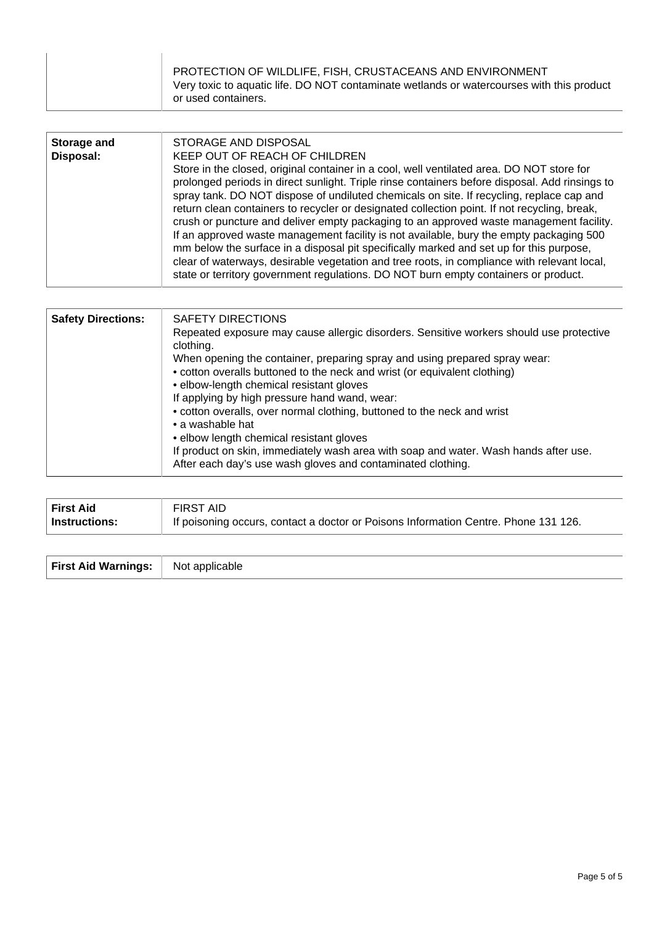| PROTECTION OF WILDLIFE, FISH, CRUSTACEANS AND ENVIRONMENT<br>Very toxic to aquatic life. DO NOT contaminate wetlands or watercourses with this product |
|--------------------------------------------------------------------------------------------------------------------------------------------------------|
| or used containers.                                                                                                                                    |

| Storage and<br>Disposal: | STORAGE AND DISPOSAL<br>KEEP OUT OF REACH OF CHILDREN<br>Store in the closed, original container in a cool, well ventilated area. DO NOT store for<br>prolonged periods in direct sunlight. Triple rinse containers before disposal. Add rinsings to<br>spray tank. DO NOT dispose of undiluted chemicals on site. If recycling, replace cap and<br>return clean containers to recycler or designated collection point. If not recycling, break,<br>crush or puncture and deliver empty packaging to an approved waste management facility.<br>If an approved waste management facility is not available, bury the empty packaging 500<br>mm below the surface in a disposal pit specifically marked and set up for this purpose,<br>clear of waterways, desirable vegetation and tree roots, in compliance with relevant local, |
|--------------------------|----------------------------------------------------------------------------------------------------------------------------------------------------------------------------------------------------------------------------------------------------------------------------------------------------------------------------------------------------------------------------------------------------------------------------------------------------------------------------------------------------------------------------------------------------------------------------------------------------------------------------------------------------------------------------------------------------------------------------------------------------------------------------------------------------------------------------------|
|                          | state or territory government regulations. DO NOT burn empty containers or product.                                                                                                                                                                                                                                                                                                                                                                                                                                                                                                                                                                                                                                                                                                                                              |

| <b>Safety Directions:</b> | <b>SAFETY DIRECTIONS</b><br>Repeated exposure may cause allergic disorders. Sensitive workers should use protective<br>clothing.<br>When opening the container, preparing spray and using prepared spray wear:<br>• cotton overalls buttoned to the neck and wrist (or equivalent clothing)<br>• elbow-length chemical resistant gloves<br>If applying by high pressure hand wand, wear:<br>• cotton overalls, over normal clothing, buttoned to the neck and wrist<br>• a washable hat<br>• elbow length chemical resistant gloves<br>If product on skin, immediately wash area with soap and water. Wash hands after use.<br>After each day's use wash gloves and contaminated clothing. |
|---------------------------|--------------------------------------------------------------------------------------------------------------------------------------------------------------------------------------------------------------------------------------------------------------------------------------------------------------------------------------------------------------------------------------------------------------------------------------------------------------------------------------------------------------------------------------------------------------------------------------------------------------------------------------------------------------------------------------------|

| <b>First Aid</b> | <b>FIRST AID</b>                                                                    |
|------------------|-------------------------------------------------------------------------------------|
| Instructions:    | If poisoning occurs, contact a doctor or Poisons Information Centre. Phone 131 126. |

**First Aid Warnings:** Not applicable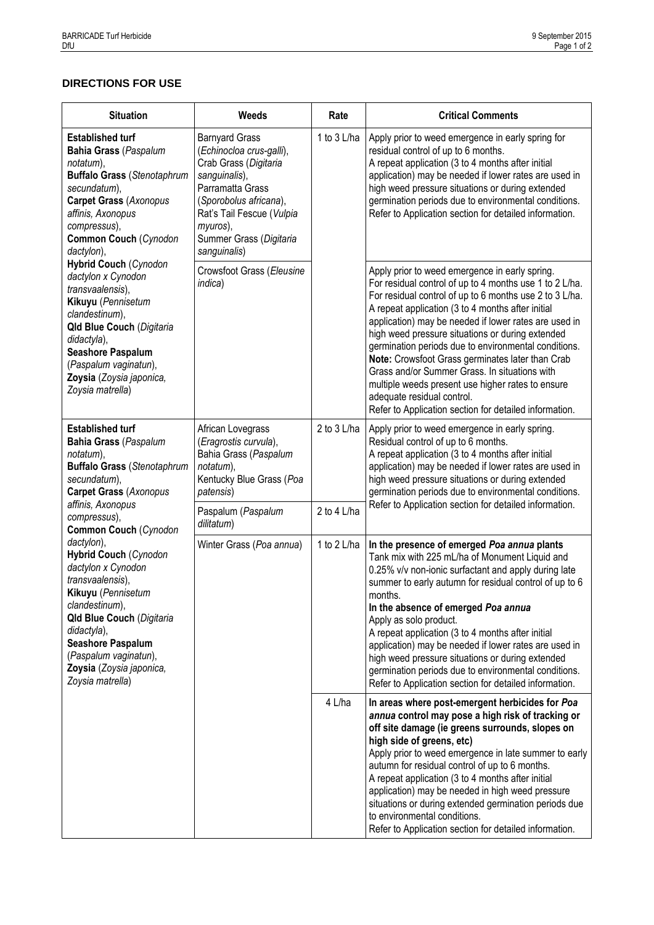## **DIRECTIONS FOR USE**

| <b>Situation</b>                                                                                                                                                                                                                                                                     | Weeds                                                                                                                                                                                                                         | Rate        | <b>Critical Comments</b>                                                                                                                                                                                                                                                                                                                                                                                                                                                                                                                                                                                                                         |  |
|--------------------------------------------------------------------------------------------------------------------------------------------------------------------------------------------------------------------------------------------------------------------------------------|-------------------------------------------------------------------------------------------------------------------------------------------------------------------------------------------------------------------------------|-------------|--------------------------------------------------------------------------------------------------------------------------------------------------------------------------------------------------------------------------------------------------------------------------------------------------------------------------------------------------------------------------------------------------------------------------------------------------------------------------------------------------------------------------------------------------------------------------------------------------------------------------------------------------|--|
| <b>Established turf</b><br><b>Bahia Grass (Paspalum</b><br>notatum),<br><b>Buffalo Grass (Stenotaphrum</b><br>secundatum),<br><b>Carpet Grass (Axonopus</b><br>affinis, Axonopus<br>compressus),<br>Common Couch (Cynodon<br>dactylon),                                              | <b>Barnyard Grass</b><br>(Echinocloa crus-galli),<br>Crab Grass (Digitaria<br>sanguinalis),<br>Parramatta Grass<br>(Sporobolus africana),<br>Rat's Tail Fescue (Vulpia<br>myuros),<br>Summer Grass (Digitaria<br>sanguinalis) | 1 to 3 L/ha | Apply prior to weed emergence in early spring for<br>residual control of up to 6 months.<br>A repeat application (3 to 4 months after initial<br>application) may be needed if lower rates are used in<br>high weed pressure situations or during extended<br>germination periods due to environmental conditions.<br>Refer to Application section for detailed information.                                                                                                                                                                                                                                                                     |  |
| <b>Hybrid Couch (Cynodon</b><br>dactylon x Cynodon<br>transvaalensis),<br>Kikuyu (Pennisetum<br>clandestinum),<br>Qld Blue Couch (Digitaria<br>didactyla),<br>Seashore Paspalum<br>(Paspalum vaginatun),<br>Zoysia (Zoysia japonica,<br>Zoysia matrella)                             | Crowsfoot Grass (Eleusine<br>indica)                                                                                                                                                                                          |             | Apply prior to weed emergence in early spring.<br>For residual control of up to 4 months use 1 to 2 L/ha.<br>For residual control of up to 6 months use 2 to 3 L/ha.<br>A repeat application (3 to 4 months after initial<br>application) may be needed if lower rates are used in<br>high weed pressure situations or during extended<br>germination periods due to environmental conditions.<br>Note: Crowsfoot Grass germinates later than Crab<br>Grass and/or Summer Grass. In situations with<br>multiple weeds present use higher rates to ensure<br>adequate residual control.<br>Refer to Application section for detailed information. |  |
| <b>Established turf</b><br><b>Bahia Grass (Paspalum</b><br>notatum),<br><b>Buffalo Grass (Stenotaphrum</b><br>secundatum),<br><b>Carpet Grass (Axonopus</b><br>affinis, Axonopus                                                                                                     | African Lovegrass<br>(Eragrostis curvula),<br>Bahia Grass (Paspalum<br>notatum),<br>Kentucky Blue Grass (Poa<br>patensis)                                                                                                     | 2 to 3 L/ha | Apply prior to weed emergence in early spring.<br>Residual control of up to 6 months.<br>A repeat application (3 to 4 months after initial<br>application) may be needed if lower rates are used in<br>high weed pressure situations or during extended<br>germination periods due to environmental conditions.<br>Refer to Application section for detailed information.                                                                                                                                                                                                                                                                        |  |
| compressus),<br>Common Couch (Cynodon                                                                                                                                                                                                                                                | Paspalum (Paspalum<br>dilitatum)                                                                                                                                                                                              | 2 to 4 L/ha |                                                                                                                                                                                                                                                                                                                                                                                                                                                                                                                                                                                                                                                  |  |
| dactylon),<br><b>Hybrid Couch (Cynodon</b><br>dactylon x Cynodon<br>transvaalensis),<br>Kikuyu (Pennisetum<br>clandestinum),<br><b>Qld Blue Couch (Digitaria</b><br>didactyla),<br><b>Seashore Paspalum</b><br>(Paspalum vaginatun),<br>Zoysia (Zoysia japonica,<br>Zoysia matrella) | Winter Grass (Poa annua)                                                                                                                                                                                                      | 1 to 2 L/ha | In the presence of emerged Poa annua plants<br>Tank mix with 225 mL/ha of Monument Liquid and<br>0.25% v/v non-ionic surfactant and apply during late<br>summer to early autumn for residual control of up to 6<br>months.<br>In the absence of emerged Poa annua<br>Apply as solo product.<br>A repeat application (3 to 4 months after initial<br>application) may be needed if lower rates are used in<br>high weed pressure situations or during extended<br>germination periods due to environmental conditions.<br>Refer to Application section for detailed information.                                                                  |  |
|                                                                                                                                                                                                                                                                                      |                                                                                                                                                                                                                               | 4 L/ha      | In areas where post-emergent herbicides for Poa<br>annua control may pose a high risk of tracking or<br>off site damage (ie greens surrounds, slopes on<br>high side of greens, etc)<br>Apply prior to weed emergence in late summer to early<br>autumn for residual control of up to 6 months.<br>A repeat application (3 to 4 months after initial<br>application) may be needed in high weed pressure<br>situations or during extended germination periods due<br>to environmental conditions.<br>Refer to Application section for detailed information.                                                                                      |  |